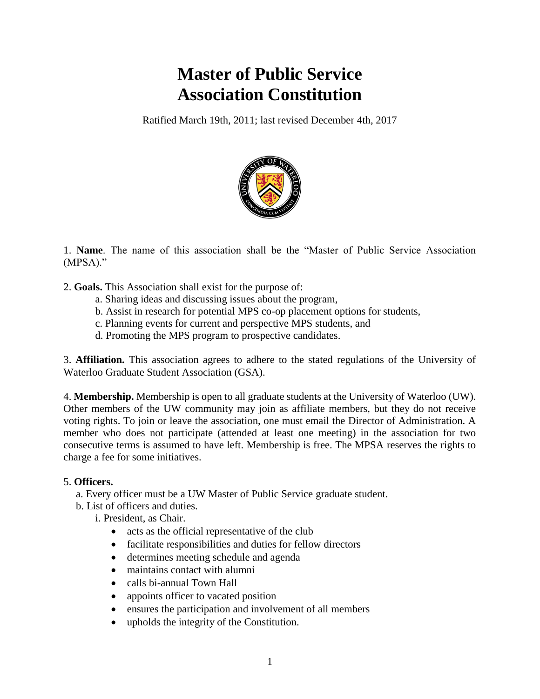# **Master of Public Service Association Constitution**

Ratified March 19th, 2011; last revised December 4th, 2017



1. **Name**. The name of this association shall be the "Master of Public Service Association (MPSA)."

2. **Goals.** This Association shall exist for the purpose of:

- a. Sharing ideas and discussing issues about the program,
- b. Assist in research for potential MPS co-op placement options for students,
- c. Planning events for current and perspective MPS students, and
- d. Promoting the MPS program to prospective candidates.

3. **Affiliation.** This association agrees to adhere to the stated regulations of the University of Waterloo Graduate Student Association (GSA).

4. **Membership.** Membership is open to all graduate students at the University of Waterloo (UW). Other members of the UW community may join as affiliate members, but they do not receive voting rights. To join or leave the association, one must email the Director of Administration. A member who does not participate (attended at least one meeting) in the association for two consecutive terms is assumed to have left. Membership is free. The MPSA reserves the rights to charge a fee for some initiatives.

# 5. **Officers.**

a. Every officer must be a UW Master of Public Service graduate student.

b. List of officers and duties.

i. President, as Chair.

- acts as the official representative of the club
- facilitate responsibilities and duties for fellow directors
- determines meeting schedule and agenda
- maintains contact with alumni
- calls bi-annual Town Hall
- appoints officer to vacated position
- ensures the participation and involvement of all members
- upholds the integrity of the Constitution.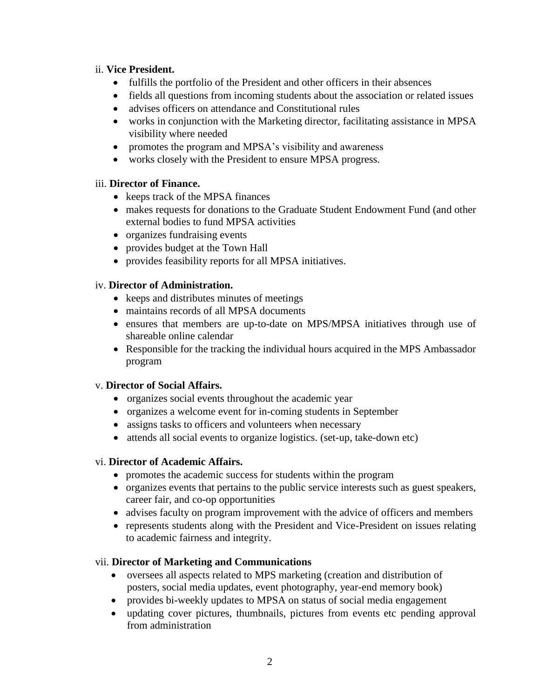### ii. **Vice President.**

- fulfills the portfolio of the President and other officers in their absences
- fields all questions from incoming students about the association or related issues
- advises officers on attendance and Constitutional rules
- works in conjunction with the Marketing director, facilitating assistance in MPSA visibility where needed
- promotes the program and MPSA's visibility and awareness
- works closely with the President to ensure MPSA progress.

# iii. **Director of Finance.**

- keeps track of the MPSA finances
- makes requests for donations to the Graduate Student Endowment Fund (and other external bodies to fund MPSA activities
- organizes fundraising events
- provides budget at the Town Hall
- provides feasibility reports for all MPSA initiatives.

# iv. **Director of Administration.**

- keeps and distributes minutes of meetings
- maintains records of all MPSA documents
- ensures that members are up-to-date on MPS/MPSA initiatives through use of shareable online calendar
- Responsible for the tracking the individual hours acquired in the MPS Ambassador program

# v. **Director of Social Affairs.**

- organizes social events throughout the academic year
- organizes a welcome event for in-coming students in September
- assigns tasks to officers and volunteers when necessary
- attends all social events to organize logistics. (set-up, take-down etc)

# vi. **Director of Academic Affairs.**

- promotes the academic success for students within the program
- organizes events that pertains to the public service interests such as guest speakers, career fair, and co-op opportunities
- advises faculty on program improvement with the advice of officers and members
- represents students along with the President and Vice-President on issues relating to academic fairness and integrity.

# vii. **Director of Marketing and Communications**

- oversees all aspects related to MPS marketing (creation and distribution of posters, social media updates, event photography, year-end memory book)
- provides bi-weekly updates to MPSA on status of social media engagement
- updating cover pictures, thumbnails, pictures from events etc pending approval from administration